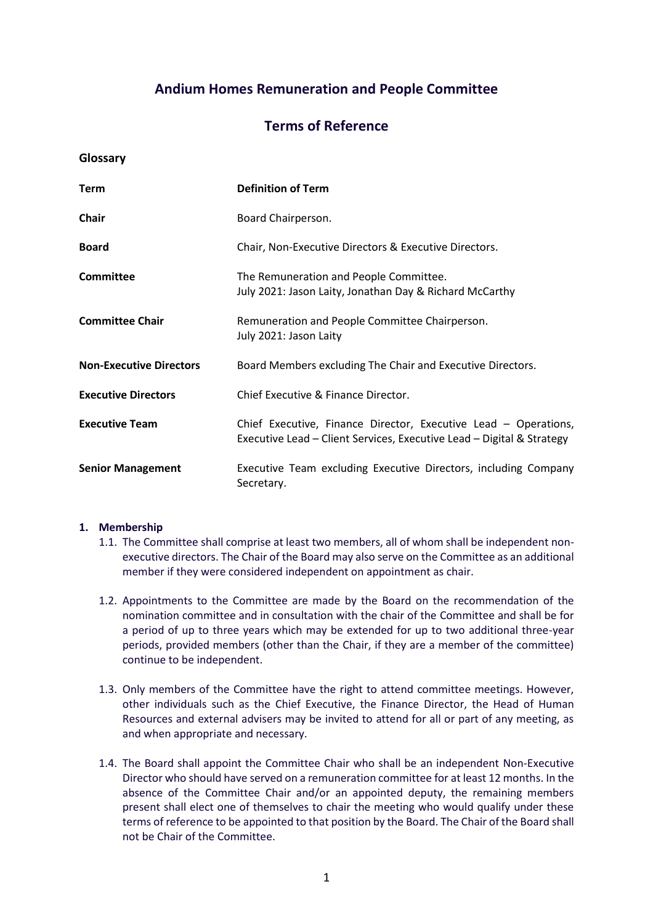# **Andium Homes Remuneration and People Committee**

# **Terms of Reference**

**Glossary**

| <b>Term</b>                    | <b>Definition of Term</b>                                                                                                                |
|--------------------------------|------------------------------------------------------------------------------------------------------------------------------------------|
| <b>Chair</b>                   | Board Chairperson.                                                                                                                       |
| <b>Board</b>                   | Chair, Non-Executive Directors & Executive Directors.                                                                                    |
| <b>Committee</b>               | The Remuneration and People Committee.<br>July 2021: Jason Laity, Jonathan Day & Richard McCarthy                                        |
| <b>Committee Chair</b>         | Remuneration and People Committee Chairperson.<br>July 2021: Jason Laity                                                                 |
| <b>Non-Executive Directors</b> | Board Members excluding The Chair and Executive Directors.                                                                               |
| <b>Executive Directors</b>     | Chief Executive & Finance Director.                                                                                                      |
| <b>Executive Team</b>          | Chief Executive, Finance Director, Executive Lead - Operations,<br>Executive Lead – Client Services, Executive Lead – Digital & Strategy |
| <b>Senior Management</b>       | Executive Team excluding Executive Directors, including Company<br>Secretary.                                                            |

### **1. Membership**

- 1.1. The Committee shall comprise at least two members, all of whom shall be independent nonexecutive directors. The Chair of the Board may also serve on the Committee as an additional member if they were considered independent on appointment as chair.
- 1.2. Appointments to the Committee are made by the Board on the recommendation of the nomination committee and in consultation with the chair of the Committee and shall be for a period of up to three years which may be extended for up to two additional three-year periods, provided members (other than the Chair, if they are a member of the committee) continue to be independent.
- 1.3. Only members of the Committee have the right to attend committee meetings. However, other individuals such as the Chief Executive, the Finance Director, the Head of Human Resources and external advisers may be invited to attend for all or part of any meeting, as and when appropriate and necessary.
- 1.4. The Board shall appoint the Committee Chair who shall be an independent Non-Executive Director who should have served on a remuneration committee for at least 12 months. In the absence of the Committee Chair and/or an appointed deputy, the remaining members present shall elect one of themselves to chair the meeting who would qualify under these terms of reference to be appointed to that position by the Board. The Chair of the Board shall not be Chair of the Committee.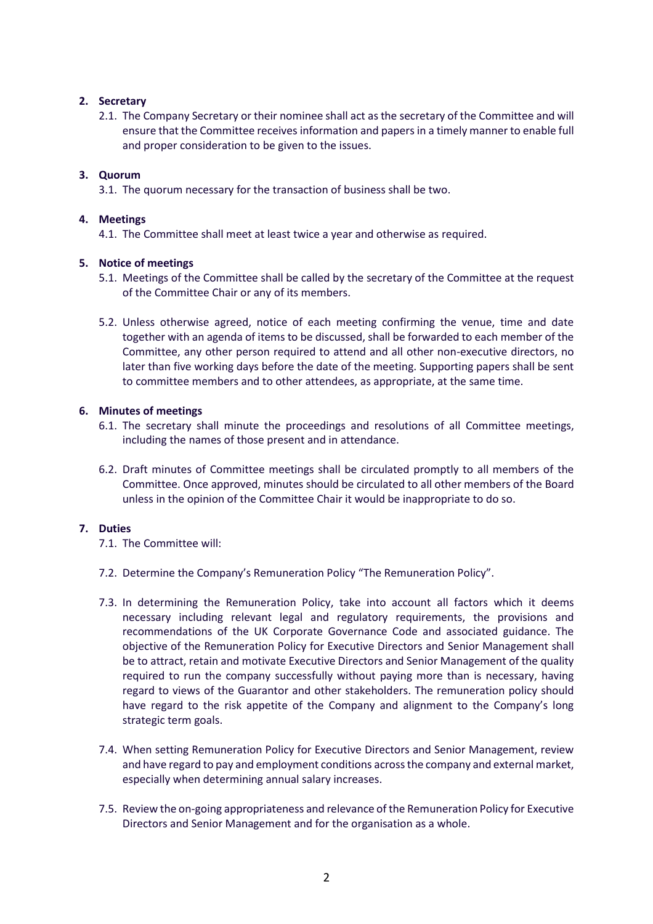# **2. Secretary**

2.1. The Company Secretary or their nominee shall act as the secretary of the Committee and will ensure that the Committee receives information and papers in a timely manner to enable full and proper consideration to be given to the issues.

## **3. Quorum**

3.1. The quorum necessary for the transaction of business shall be two.

## **4. Meetings**

4.1. The Committee shall meet at least twice a year and otherwise as required.

# **5. Notice of meetings**

- 5.1. Meetings of the Committee shall be called by the secretary of the Committee at the request of the Committee Chair or any of its members.
- 5.2. Unless otherwise agreed, notice of each meeting confirming the venue, time and date together with an agenda of items to be discussed, shall be forwarded to each member of the Committee, any other person required to attend and all other non-executive directors, no later than five working days before the date of the meeting. Supporting papers shall be sent to committee members and to other attendees, as appropriate, at the same time.

### **6. Minutes of meetings**

- 6.1. The secretary shall minute the proceedings and resolutions of all Committee meetings, including the names of those present and in attendance.
- 6.2. Draft minutes of Committee meetings shall be circulated promptly to all members of the Committee. Once approved, minutes should be circulated to all other members of the Board unless in the opinion of the Committee Chair it would be inappropriate to do so.

### **7. Duties**

- 7.1. The Committee will:
- 7.2. Determine the Company's Remuneration Policy "The Remuneration Policy".
- 7.3. In determining the Remuneration Policy, take into account all factors which it deems necessary including relevant legal and regulatory requirements, the provisions and recommendations of the UK Corporate Governance Code and associated guidance. The objective of the Remuneration Policy for Executive Directors and Senior Management shall be to attract, retain and motivate Executive Directors and Senior Management of the quality required to run the company successfully without paying more than is necessary, having regard to views of the Guarantor and other stakeholders. The remuneration policy should have regard to the risk appetite of the Company and alignment to the Company's long strategic term goals.
- 7.4. When setting Remuneration Policy for Executive Directors and Senior Management, review and have regard to pay and employment conditions across the company and external market, especially when determining annual salary increases.
- 7.5. Review the on-going appropriateness and relevance of the Remuneration Policy for Executive Directors and Senior Management and for the organisation as a whole.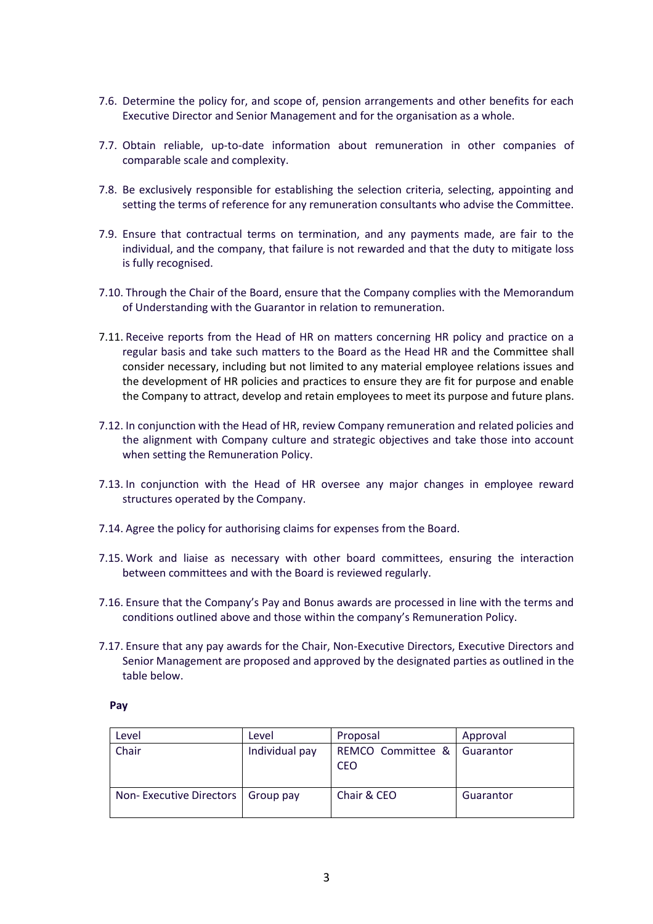- 7.6. Determine the policy for, and scope of, pension arrangements and other benefits for each Executive Director and Senior Management and for the organisation as a whole.
- 7.7. Obtain reliable, up-to-date information about remuneration in other companies of comparable scale and complexity.
- 7.8. Be exclusively responsible for establishing the selection criteria, selecting, appointing and setting the terms of reference for any remuneration consultants who advise the Committee.
- 7.9. Ensure that contractual terms on termination, and any payments made, are fair to the individual, and the company, that failure is not rewarded and that the duty to mitigate loss is fully recognised.
- 7.10. Through the Chair of the Board, ensure that the Company complies with the Memorandum of Understanding with the Guarantor in relation to remuneration.
- 7.11. Receive reports from the Head of HR on matters concerning HR policy and practice on a regular basis and take such matters to the Board as the Head HR and the Committee shall consider necessary, including but not limited to any material employee relations issues and the development of HR policies and practices to ensure they are fit for purpose and enable the Company to attract, develop and retain employees to meet its purpose and future plans.
- 7.12. In conjunction with the Head of HR, review Company remuneration and related policies and the alignment with Company culture and strategic objectives and take those into account when setting the Remuneration Policy.
- 7.13. In conjunction with the Head of HR oversee any major changes in employee reward structures operated by the Company.
- 7.14. Agree the policy for authorising claims for expenses from the Board.
- 7.15. Work and liaise as necessary with other board committees, ensuring the interaction between committees and with the Board is reviewed regularly.
- 7.16. Ensure that the Company's Pay and Bonus awards are processed in line with the terms and conditions outlined above and those within the company's Remuneration Policy.
- 7.17. Ensure that any pay awards for the Chair, Non-Executive Directors, Executive Directors and Senior Management are proposed and approved by the designated parties as outlined in the table below.

#### **Pay**

| Level                   | Level          | Proposal                        | Approval  |
|-------------------------|----------------|---------------------------------|-----------|
| Chair                   | Individual pay | REMCO Committee &<br><b>CEO</b> | Guarantor |
| Non-Executive Directors | Group pay      | Chair & CEO                     | Guarantor |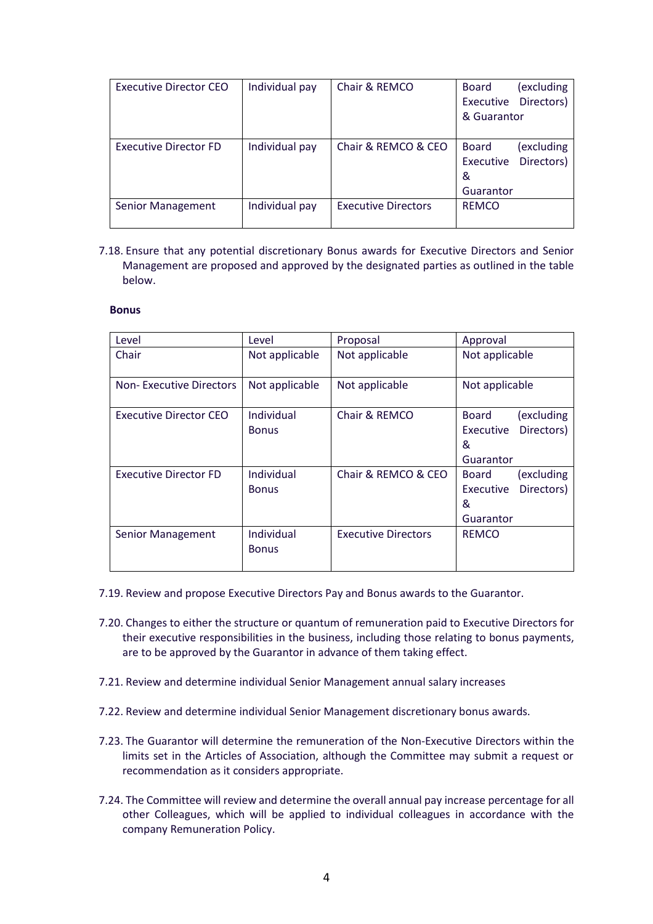| Executive Director CEO       | Individual pay | Chair & REMCO              | Board        | (excluding |
|------------------------------|----------------|----------------------------|--------------|------------|
|                              |                |                            | Executive    | Directors) |
|                              |                |                            | & Guarantor  |            |
|                              |                |                            |              |            |
| <b>Executive Director FD</b> | Individual pay | Chair & REMCO & CEO        | <b>Board</b> | (excluding |
|                              |                |                            | Executive    | Directors) |
|                              |                |                            | &            |            |
|                              |                |                            | Guarantor    |            |
| Senior Management            | Individual pay | <b>Executive Directors</b> | <b>REMCO</b> |            |
|                              |                |                            |              |            |

7.18. Ensure that any potential discretionary Bonus awards for Executive Directors and Senior Management are proposed and approved by the designated parties as outlined in the table below.

#### **Bonus**

| Level                          | Level                      | Proposal                   | Approval                                                                       |
|--------------------------------|----------------------------|----------------------------|--------------------------------------------------------------------------------|
| Chair                          | Not applicable             | Not applicable             | Not applicable                                                                 |
| <b>Non-Executive Directors</b> | Not applicable             | Not applicable             | Not applicable                                                                 |
| <b>Executive Director CEO</b>  | Individual<br><b>Bonus</b> | Chair & REMCO              | (excluding<br><b>Board</b><br>Directors)<br><b>Executive</b><br>&<br>Guarantor |
| <b>Executive Director FD</b>   | Individual<br><b>Bonus</b> | Chair & REMCO & CEO        | (excluding<br><b>Board</b><br>Directors)<br>Executive<br>&<br>Guarantor        |
| Senior Management              | Individual<br><b>Bonus</b> | <b>Executive Directors</b> | <b>REMCO</b>                                                                   |

- 7.19. Review and propose Executive Directors Pay and Bonus awards to the Guarantor.
- 7.20. Changes to either the structure or quantum of remuneration paid to Executive Directors for their executive responsibilities in the business, including those relating to bonus payments, are to be approved by the Guarantor in advance of them taking effect.
- 7.21. Review and determine individual Senior Management annual salary increases
- 7.22. Review and determine individual Senior Management discretionary bonus awards.
- 7.23. The Guarantor will determine the remuneration of the Non-Executive Directors within the limits set in the Articles of Association, although the Committee may submit a request or recommendation as it considers appropriate.
- 7.24. The Committee will review and determine the overall annual pay increase percentage for all other Colleagues, which will be applied to individual colleagues in accordance with the company Remuneration Policy.